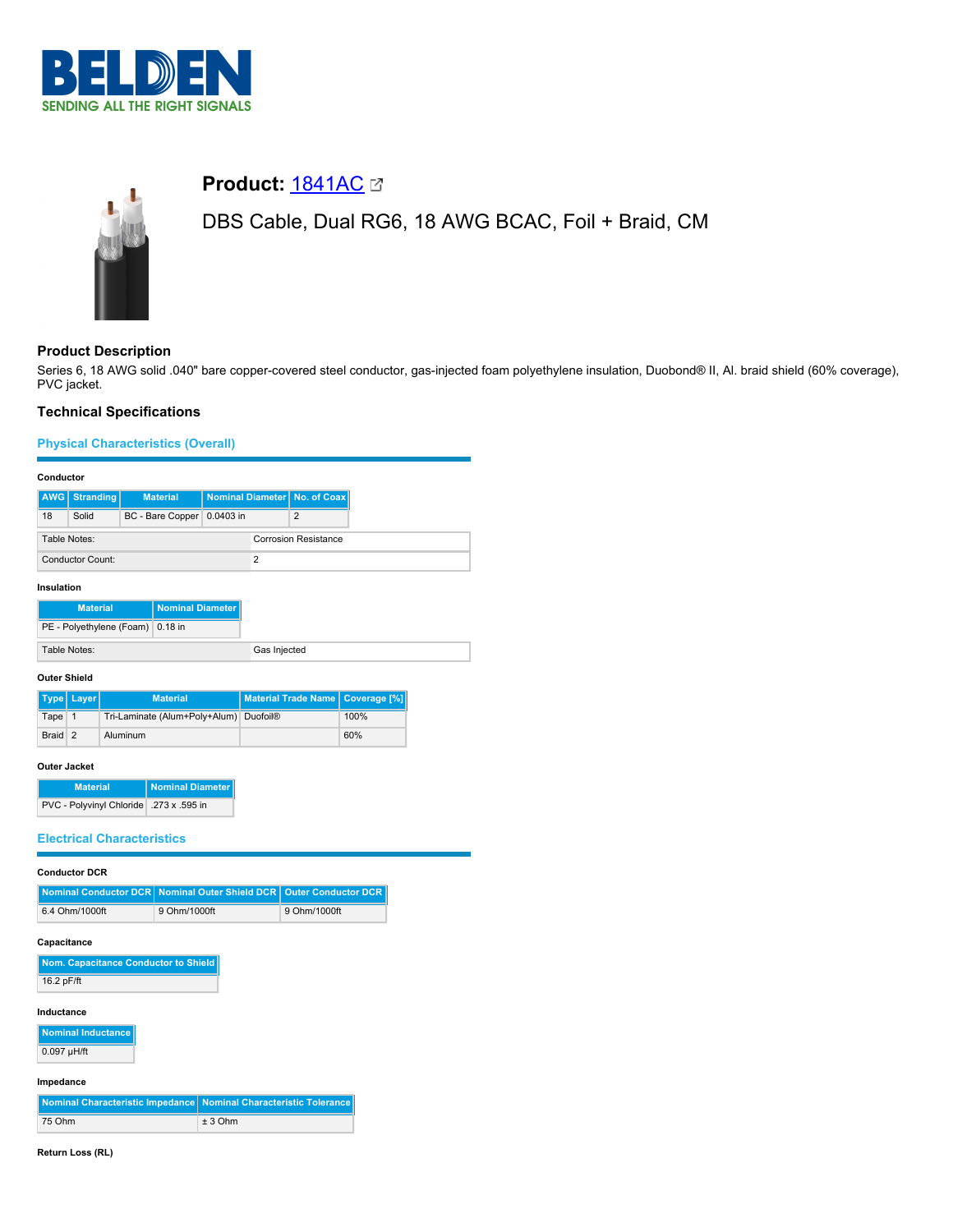



# **Product: [1841AC](https://catalog.belden.com/index.cfm?event=pd&p=PF_1841AC&tab=downloads) 23**

DBS Cable, Dual RG6, 18 AWG BCAC, Foil + Braid, CM

# **Product Description**

Series 6, 18 AWG solid .040" bare copper-covered steel conductor, gas-injected foam polyethylene insulation, Duobond® II, Al. braid shield (60% coverage), PVC jacket.

## **Technical Specifications**

## **Physical Characteristics (Overall)**

#### **Conductor**

| 18<br>Solid<br>BC - Bare Copper 0.0403 in<br>2<br><b>Corrosion Resistance</b><br>Table Notes:<br>Conductor Count: |  | <b>AWG</b> Stranding | <b>Material</b> |  | Nominal Diameter   No. of Coax |
|-------------------------------------------------------------------------------------------------------------------|--|----------------------|-----------------|--|--------------------------------|
|                                                                                                                   |  |                      |                 |  |                                |
|                                                                                                                   |  |                      |                 |  |                                |
|                                                                                                                   |  |                      |                 |  |                                |

## **Insulation**

| <b>Material</b>                  | Nominal Diameter |  |
|----------------------------------|------------------|--|
| PE - Polyethylene (Foam) 0.18 in |                  |  |
| Table Notes:                     |                  |  |

#### **Outer Shield**

|         | Type   Layer | <b>Material</b>                        | Material Trade Name   Coverage [%] |      |
|---------|--------------|----------------------------------------|------------------------------------|------|
| Tape 1  |              | Tri-Laminate (Alum+Poly+Alum) Duofoil® |                                    | 100% |
| Braid 2 |              | Aluminum                               |                                    | 60%  |

#### **Outer Jacket**

| <b>Material</b>                           | Nominal Diameter |
|-------------------------------------------|------------------|
| PVC - Polyvinyl Chloride   .273 x .595 in |                  |

## **Electrical Characteristics**

| <b>Conductor DCR</b>                                              |              |                            |  |  |
|-------------------------------------------------------------------|--------------|----------------------------|--|--|
| <b>Nominal Conductor DCR   Nominal Outer Shield DCR  </b>         |              | <b>Outer Conductor DCR</b> |  |  |
| 6.4 Ohm/1000ft                                                    | 9 Ohm/1000ft | 9 Ohm/1000ft               |  |  |
| Capacitance                                                       |              |                            |  |  |
| Nom. Capacitance Conductor to Shield                              |              |                            |  |  |
| 16.2 pF/ft                                                        |              |                            |  |  |
| Inductance<br><b>Nominal Inductance</b>                           |              |                            |  |  |
| $0.097$ µH/ft                                                     |              |                            |  |  |
| Impedance                                                         |              |                            |  |  |
|                                                                   |              |                            |  |  |
| Nominal Characteristic Impedance Nominal Characteristic Tolerance |              |                            |  |  |

#### **Return Loss (RL)**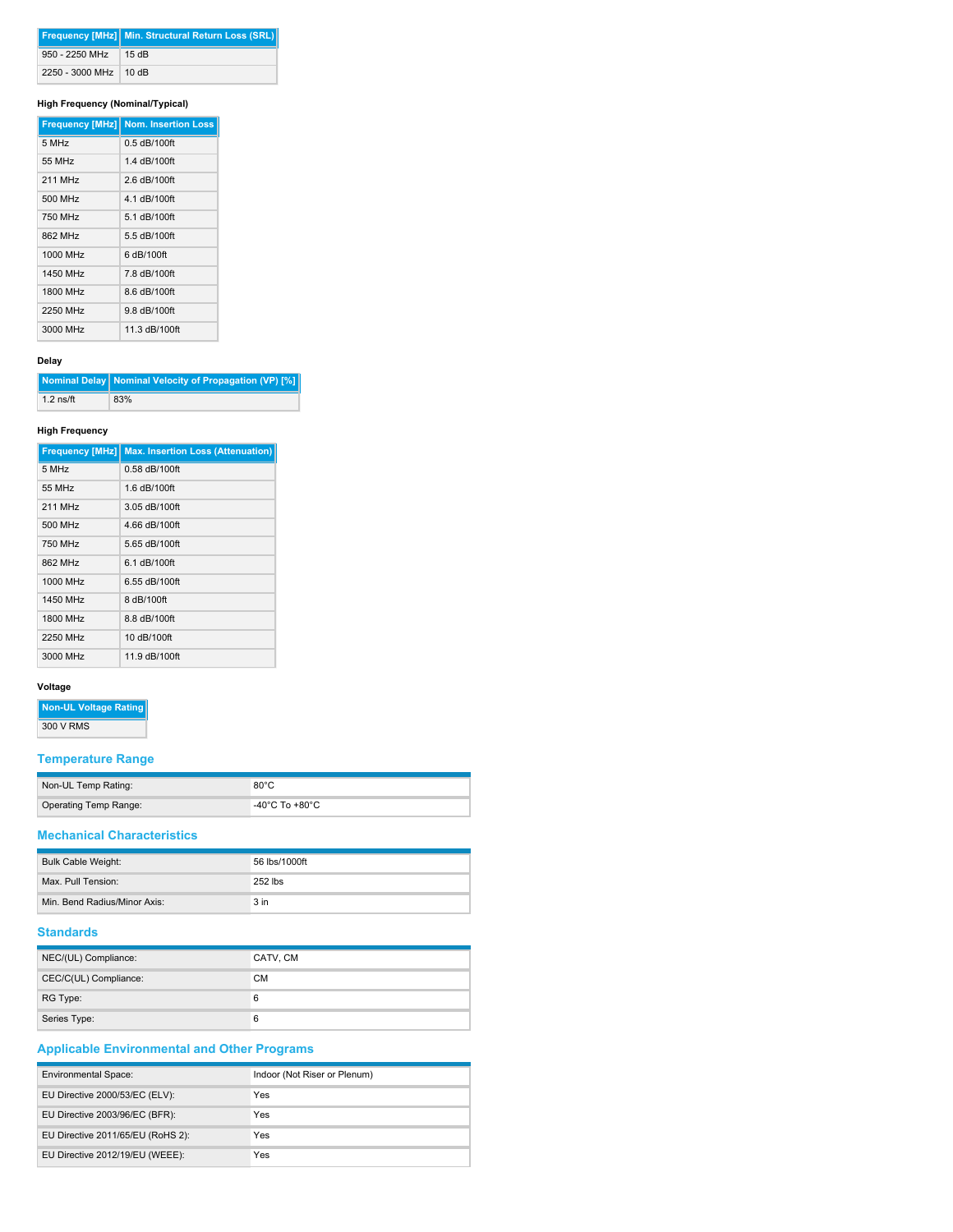|                         | <b>Frequency [MHz] Min. Structural Return Loss (SRL)</b> |
|-------------------------|----------------------------------------------------------|
| 950 - 2250 MHz 15 dB    |                                                          |
| 2250 - 3000 MHz   10 dB |                                                          |

## **High Frequency (Nominal/Typical)**

|          | <b>Frequency [MHz] Nom. Insertion Loss</b> |
|----------|--------------------------------------------|
| 5 MHz    | $0.5$ dB/100ft                             |
| 55 MHz   | 1.4 dB/100ft                               |
| 211 MHz  | 2.6 dB/100ft                               |
| 500 MHz  | 4.1 dB/100ft                               |
| 750 MHz  | 5.1 dB/100ft                               |
| 862 MHz  | 5.5 dB/100ft                               |
| 1000 MHz | 6 dB/100ft                                 |
| 1450 MHz | 7.8 dB/100ft                               |
| 1800 MHz | 8.6 dB/100ft                               |
| 2250 MHz | 9.8 dB/100ft                               |
| 3000 MHz | 11.3 dB/100ft                              |

#### **Delay**

|             | Nominal Delay   Nominal Velocity of Propagation (VP) [%] |
|-------------|----------------------------------------------------------|
| $1.2$ ns/ft | 83%                                                      |

#### **High Frequency**

|          | <b>Frequency [MHz] Max. Insertion Loss (Attenuation)</b> |
|----------|----------------------------------------------------------|
| 5 MHz    | $0.58$ dB/100ft                                          |
| 55 MHz   | 1.6 dB/100ft                                             |
| 211 MHz  | 3.05 dB/100ft                                            |
| 500 MHz  | 4.66 dB/100ft                                            |
| 750 MHz  | 5.65 dB/100ft                                            |
| 862 MHz  | 6.1 dB/100ft                                             |
| 1000 MHz | 6.55 dB/100ft                                            |
| 1450 MHz | 8 dB/100ft                                               |
| 1800 MHz | 8.8 dB/100ft                                             |
| 2250 MHz | 10 dB/100ft                                              |
| 3000 MHz | 11.9 dB/100ft                                            |

# **Voltage**

**Non-UL Voltage Rating**

300 V RMS

# **Temperature Range**

| Non-UL Temp Rating:   | $80^{\circ}$ C |
|-----------------------|----------------|
| Operating Temp Range: | -40°C To +80°C |

# **Mechanical Characteristics**

| Bulk Cable Weight:           | 56 lbs/1000ft   |
|------------------------------|-----------------|
| Max. Pull Tension:           | 252 lbs         |
| Min. Bend Radius/Minor Axis: | 3 <sub>in</sub> |

## **Standards**

| NEC/(UL) Compliance:  | CATV, CM  |
|-----------------------|-----------|
| CEC/C(UL) Compliance: | <b>CM</b> |
| RG Type:              | 6         |
| Series Type:          | 6         |

# **Applicable Environmental and Other Programs**

| <b>Environmental Space:</b>       | Indoor (Not Riser or Plenum) |
|-----------------------------------|------------------------------|
| EU Directive 2000/53/EC (ELV):    | Yes                          |
| EU Directive 2003/96/EC (BFR):    | Yes                          |
| EU Directive 2011/65/EU (RoHS 2): | Yes                          |
| EU Directive 2012/19/EU (WEEE):   | Yes                          |